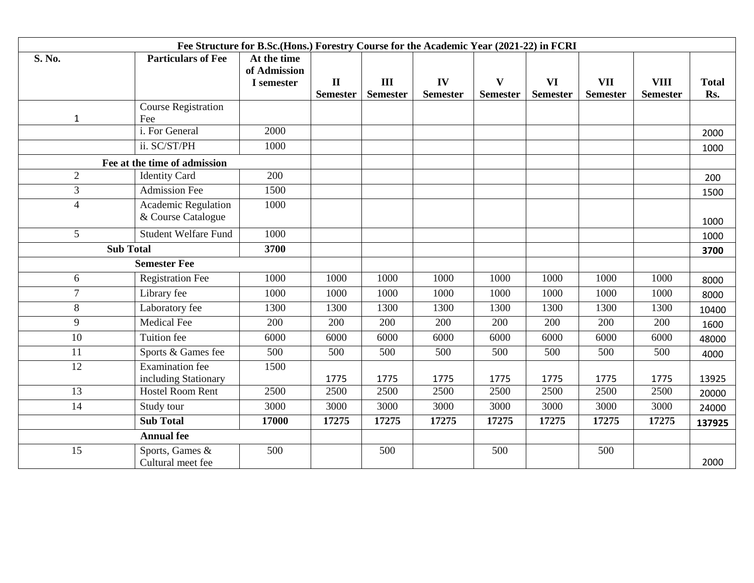| Fee Structure for B.Sc.(Hons.) Forestry Course for the Academic Year (2021-22) in FCRI |                              |              |                                 |                        |                       |                                 |                              |                               |                                |                     |
|----------------------------------------------------------------------------------------|------------------------------|--------------|---------------------------------|------------------------|-----------------------|---------------------------------|------------------------------|-------------------------------|--------------------------------|---------------------|
| S. No.                                                                                 | <b>Particulars of Fee</b>    | At the time  |                                 |                        |                       |                                 |                              |                               |                                |                     |
|                                                                                        |                              | of Admission |                                 |                        |                       |                                 |                              |                               |                                |                     |
|                                                                                        |                              | I semester   | $\mathbf{I}$<br><b>Semester</b> | III<br><b>Semester</b> | IV<br><b>Semester</b> | $\mathbf{V}$<br><b>Semester</b> | <b>VI</b><br><b>Semester</b> | <b>VII</b><br><b>Semester</b> | <b>VIII</b><br><b>Semester</b> | <b>Total</b><br>Rs. |
|                                                                                        | <b>Course Registration</b>   |              |                                 |                        |                       |                                 |                              |                               |                                |                     |
| $\mathbf{1}$                                                                           | Fee                          |              |                                 |                        |                       |                                 |                              |                               |                                |                     |
|                                                                                        | i. For General               | 2000         |                                 |                        |                       |                                 |                              |                               |                                | 2000                |
|                                                                                        | ii. SC/ST/PH                 | 1000         |                                 |                        |                       |                                 |                              |                               |                                | 1000                |
|                                                                                        | Fee at the time of admission |              |                                 |                        |                       |                                 |                              |                               |                                |                     |
| $\overline{2}$                                                                         | <b>Identity Card</b>         | 200          |                                 |                        |                       |                                 |                              |                               |                                | 200                 |
| $\overline{3}$                                                                         | <b>Admission Fee</b>         | 1500         |                                 |                        |                       |                                 |                              |                               |                                | 1500                |
| $\overline{4}$                                                                         | <b>Academic Regulation</b>   | 1000         |                                 |                        |                       |                                 |                              |                               |                                |                     |
|                                                                                        | & Course Catalogue           |              |                                 |                        |                       |                                 |                              |                               |                                | 1000                |
| $5\overline{)}$                                                                        | <b>Student Welfare Fund</b>  | 1000         |                                 |                        |                       |                                 |                              |                               |                                | 1000                |
| <b>Sub Total</b>                                                                       |                              | 3700         |                                 |                        |                       |                                 |                              |                               |                                | 3700                |
|                                                                                        | <b>Semester Fee</b>          |              |                                 |                        |                       |                                 |                              |                               |                                |                     |
| 6                                                                                      | <b>Registration Fee</b>      | 1000         | 1000                            | 1000                   | 1000                  | 1000                            | 1000                         | 1000                          | 1000                           | 8000                |
| $\overline{7}$                                                                         | Library fee                  | 1000         | 1000                            | 1000                   | 1000                  | 1000                            | 1000                         | 1000                          | 1000                           | 8000                |
| 8                                                                                      | Laboratory fee               | 1300         | 1300                            | 1300                   | 1300                  | 1300                            | 1300                         | 1300                          | 1300                           | 10400               |
| 9                                                                                      | <b>Medical Fee</b>           | 200          | 200                             | 200                    | 200                   | 200                             | 200                          | 200                           | 200                            | 1600                |
| 10                                                                                     | <b>Tuition</b> fee           | 6000         | 6000                            | 6000                   | 6000                  | 6000                            | 6000                         | 6000                          | 6000                           | 48000               |
| 11                                                                                     | Sports & Games fee           | 500          | 500                             | 500                    | 500                   | 500                             | 500                          | 500                           | 500                            | 4000                |
| 12                                                                                     | <b>Examination</b> fee       | 1500         |                                 |                        |                       |                                 |                              |                               |                                |                     |
|                                                                                        | including Stationary         |              | 1775                            | 1775                   | 1775                  | 1775                            | 1775                         | 1775                          | 1775                           | 13925               |
| 13                                                                                     | <b>Hostel Room Rent</b>      | 2500         | 2500                            | 2500                   | 2500                  | 2500                            | 2500                         | 2500                          | 2500                           | 20000               |
| 14                                                                                     | Study tour                   | 3000         | 3000                            | 3000                   | 3000                  | 3000                            | 3000                         | 3000                          | 3000                           | 24000               |
|                                                                                        | <b>Sub Total</b>             | 17000        | 17275                           | 17275                  | 17275                 | 17275                           | 17275                        | 17275                         | 17275                          | 137925              |
| <b>Annual fee</b>                                                                      |                              |              |                                 |                        |                       |                                 |                              |                               |                                |                     |
| 15                                                                                     | Sports, Games &              | 500          |                                 | 500                    |                       | 500                             |                              | 500                           |                                |                     |
|                                                                                        | Cultural meet fee            |              |                                 |                        |                       |                                 |                              |                               |                                | 2000                |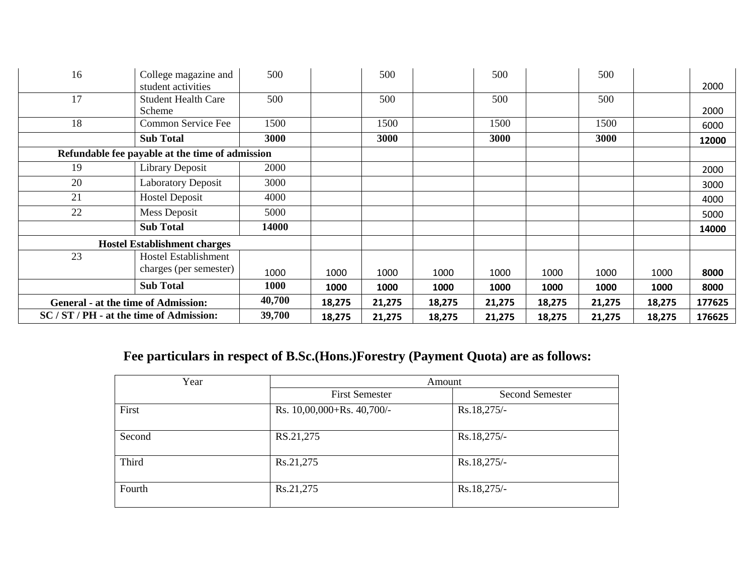| 16                                         | College magazine and                            | 500    |        | 500    |        | 500    |        | 500    |        |        |
|--------------------------------------------|-------------------------------------------------|--------|--------|--------|--------|--------|--------|--------|--------|--------|
|                                            | student activities                              |        |        |        |        |        |        |        |        | 2000   |
| 17                                         | <b>Student Health Care</b>                      | 500    |        | 500    |        | 500    |        | 500    |        |        |
|                                            | Scheme                                          |        |        |        |        |        |        |        |        | 2000   |
| 18                                         | Common Service Fee                              | 1500   |        | 1500   |        | 1500   |        | 1500   |        | 6000   |
|                                            | <b>Sub Total</b>                                | 3000   |        | 3000   |        | 3000   |        | 3000   |        | 12000  |
|                                            | Refundable fee payable at the time of admission |        |        |        |        |        |        |        |        |        |
| 19                                         | <b>Library Deposit</b>                          | 2000   |        |        |        |        |        |        |        | 2000   |
| 20                                         | <b>Laboratory Deposit</b>                       | 3000   |        |        |        |        |        |        |        | 3000   |
| 21                                         | <b>Hostel Deposit</b>                           | 4000   |        |        |        |        |        |        |        | 4000   |
| 22                                         | <b>Mess Deposit</b>                             | 5000   |        |        |        |        |        |        |        | 5000   |
|                                            | <b>Sub Total</b>                                | 14000  |        |        |        |        |        |        |        | 14000  |
| <b>Hostel Establishment charges</b>        |                                                 |        |        |        |        |        |        |        |        |        |
| 23                                         | Hostel Establishment                            |        |        |        |        |        |        |        |        |        |
|                                            | charges (per semester)                          | 1000   | 1000   | 1000   | 1000   | 1000   | 1000   | 1000   | 1000   | 8000   |
|                                            | <b>Sub Total</b>                                | 1000   | 1000   | 1000   | 1000   | 1000   | 1000   | 1000   | 1000   | 8000   |
| <b>General - at the time of Admission:</b> |                                                 | 40,700 | 18,275 | 21,275 | 18,275 | 21,275 | 18,275 | 21,275 | 18,275 | 177625 |
| SC / ST / PH - at the time of Admission:   |                                                 | 39,700 | 18,275 | 21,275 | 18,275 | 21,275 | 18,275 | 21,275 | 18,275 | 176625 |

## **Fee particulars in respect of B.Sc.(Hons.)Forestry (Payment Quota) are as follows:**

| Year   | Amount                     |                        |  |  |  |  |
|--------|----------------------------|------------------------|--|--|--|--|
|        | <b>First Semester</b>      | <b>Second Semester</b> |  |  |  |  |
| First  | Rs. 10,00,000+Rs. 40,700/- | Rs.18,275/-            |  |  |  |  |
| Second | RS.21,275                  | Rs.18,275/-            |  |  |  |  |
| Third  | Rs.21,275                  | Rs.18,275/-            |  |  |  |  |
| Fourth | Rs.21,275                  | Rs.18,275/-            |  |  |  |  |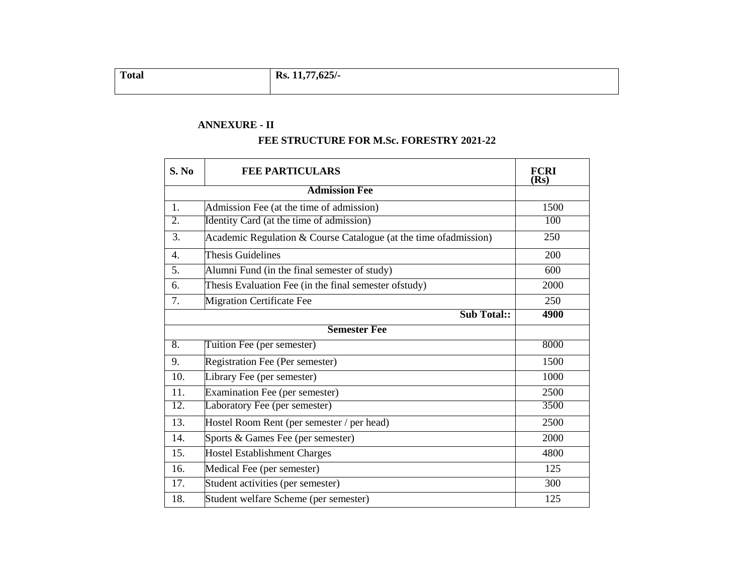| <b>Total</b> | Rs. 11,77,625/- |
|--------------|-----------------|
|              |                 |

## **ANNEXURE - II**

## **FEE STRUCTURE FOR M.Sc. FORESTRY 2021-22**

| S. No | <b>FEE PARTICULARS</b>                                              | <b>FCRI</b><br>(Rs) |
|-------|---------------------------------------------------------------------|---------------------|
|       |                                                                     |                     |
| 1.    | Admission Fee (at the time of admission)                            | 1500                |
| 2.    | Identity Card (at the time of admission)                            | 100                 |
| 3.    | Academic Regulation $&$ Course Catalogue (at the time of admission) | 250                 |
| 4.    | Thesis Guidelines                                                   | 200                 |
| 5.    | Alumni Fund (in the final semester of study)                        | 600                 |
| 6.    | Thesis Evaluation Fee (in the final semester of study)              | 2000                |
| 7.    | <b>Migration Certificate Fee</b>                                    | 250                 |
|       | <b>Sub Total::</b>                                                  | 4900                |
|       | <b>Semester Fee</b>                                                 |                     |
| 8.    | Tuition Fee (per semester)                                          | 8000                |
| 9.    | Registration Fee (Per semester)                                     | 1500                |
| 10.   | Library Fee (per semester)                                          | 1000                |
| 11.   | Examination Fee (per semester)                                      | 2500                |
| 12.   | Laboratory Fee (per semester)                                       | 3500                |
| 13.   | Hostel Room Rent (per semester / per head)                          | 2500                |
| 14.   | Sports & Games Fee (per semester)                                   | 2000                |
| 15.   | <b>Hostel Establishment Charges</b>                                 | 4800                |
| 16.   | Medical Fee (per semester)                                          | 125                 |
| 17.   | Student activities (per semester)                                   | 300                 |
| 18.   | Student welfare Scheme (per semester)                               | 125                 |